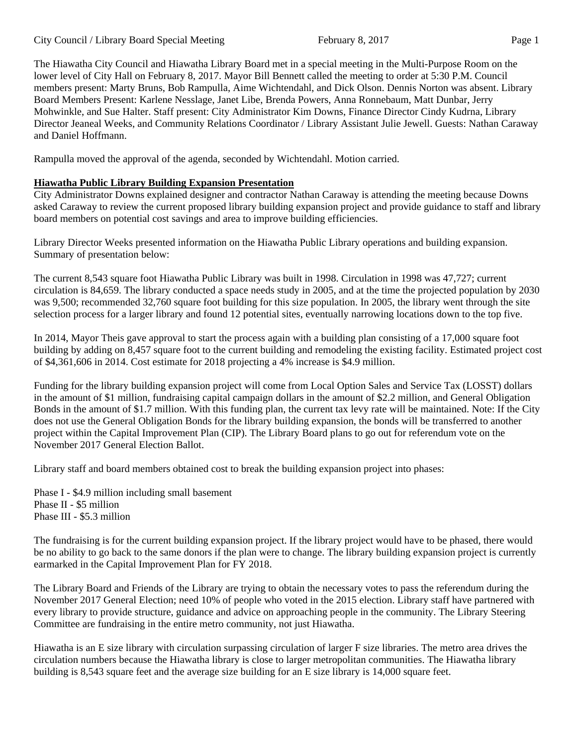City Council / Library Board Special Meeting February 8, 2017 Page 1

The Hiawatha City Council and Hiawatha Library Board met in a special meeting in the Multi-Purpose Room on the lower level of City Hall on February 8, 2017. Mayor Bill Bennett called the meeting to order at 5:30 P.M. Council members present: Marty Bruns, Bob Rampulla, Aime Wichtendahl, and Dick Olson. Dennis Norton was absent. Library Board Members Present: Karlene Nesslage, Janet Libe, Brenda Powers, Anna Ronnebaum, Matt Dunbar, Jerry Mohwinkle, and Sue Halter. Staff present: City Administrator Kim Downs, Finance Director Cindy Kudrna, Library

Director Jeaneal Weeks, and Community Relations Coordinator / Library Assistant Julie Jewell. Guests: Nathan Caraway and Daniel Hoffmann.

Rampulla moved the approval of the agenda, seconded by Wichtendahl. Motion carried.

## **Hiawatha Public Library Building Expansion Presentation**

City Administrator Downs explained designer and contractor Nathan Caraway is attending the meeting because Downs asked Caraway to review the current proposed library building expansion project and provide guidance to staff and library board members on potential cost savings and area to improve building efficiencies.

Library Director Weeks presented information on the Hiawatha Public Library operations and building expansion. Summary of presentation below:

The current 8,543 square foot Hiawatha Public Library was built in 1998. Circulation in 1998 was 47,727; current circulation is 84,659. The library conducted a space needs study in 2005, and at the time the projected population by 2030 was 9,500; recommended 32,760 square foot building for this size population. In 2005, the library went through the site selection process for a larger library and found 12 potential sites, eventually narrowing locations down to the top five.

In 2014, Mayor Theis gave approval to start the process again with a building plan consisting of a 17,000 square foot building by adding on 8,457 square foot to the current building and remodeling the existing facility. Estimated project cost of \$4,361,606 in 2014. Cost estimate for 2018 projecting a 4% increase is \$4.9 million.

Funding for the library building expansion project will come from Local Option Sales and Service Tax (LOSST) dollars in the amount of \$1 million, fundraising capital campaign dollars in the amount of \$2.2 million, and General Obligation Bonds in the amount of \$1.7 million. With this funding plan, the current tax levy rate will be maintained. Note: If the City does not use the General Obligation Bonds for the library building expansion, the bonds will be transferred to another project within the Capital Improvement Plan (CIP). The Library Board plans to go out for referendum vote on the November 2017 General Election Ballot.

Library staff and board members obtained cost to break the building expansion project into phases:

Phase I - \$4.9 million including small basement Phase II - \$5 million Phase III - \$5.3 million

The fundraising is for the current building expansion project. If the library project would have to be phased, there would be no ability to go back to the same donors if the plan were to change. The library building expansion project is currently earmarked in the Capital Improvement Plan for FY 2018.

The Library Board and Friends of the Library are trying to obtain the necessary votes to pass the referendum during the November 2017 General Election; need 10% of people who voted in the 2015 election. Library staff have partnered with every library to provide structure, guidance and advice on approaching people in the community. The Library Steering Committee are fundraising in the entire metro community, not just Hiawatha.

Hiawatha is an E size library with circulation surpassing circulation of larger F size libraries. The metro area drives the circulation numbers because the Hiawatha library is close to larger metropolitan communities. The Hiawatha library building is 8,543 square feet and the average size building for an E size library is 14,000 square feet.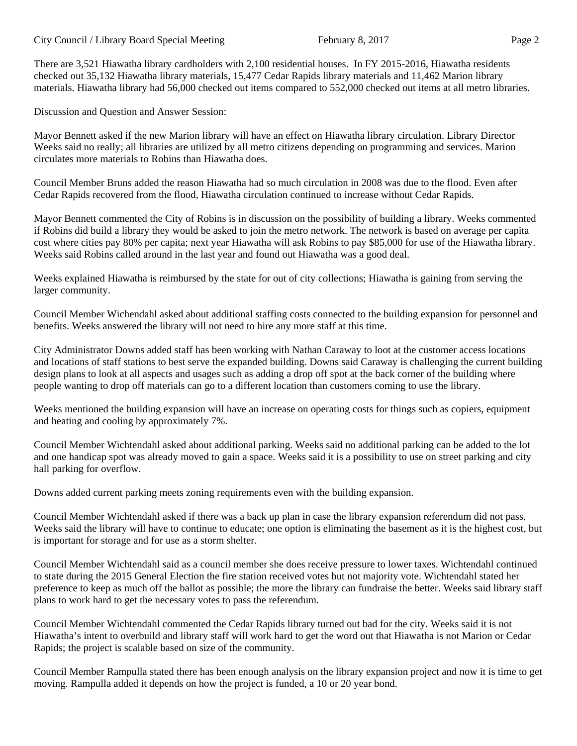## City Council / Library Board Special Meeting February 8, 2017 Page 2

There are 3,521 Hiawatha library cardholders with 2,100 residential houses. In FY 2015-2016, Hiawatha residents checked out 35,132 Hiawatha library materials, 15,477 Cedar Rapids library materials and 11,462 Marion library materials. Hiawatha library had 56,000 checked out items compared to 552,000 checked out items at all metro libraries.

Discussion and Question and Answer Session:

Mayor Bennett asked if the new Marion library will have an effect on Hiawatha library circulation. Library Director Weeks said no really; all libraries are utilized by all metro citizens depending on programming and services. Marion circulates more materials to Robins than Hiawatha does.

Council Member Bruns added the reason Hiawatha had so much circulation in 2008 was due to the flood. Even after Cedar Rapids recovered from the flood, Hiawatha circulation continued to increase without Cedar Rapids.

Mayor Bennett commented the City of Robins is in discussion on the possibility of building a library. Weeks commented if Robins did build a library they would be asked to join the metro network. The network is based on average per capita cost where cities pay 80% per capita; next year Hiawatha will ask Robins to pay \$85,000 for use of the Hiawatha library. Weeks said Robins called around in the last year and found out Hiawatha was a good deal.

Weeks explained Hiawatha is reimbursed by the state for out of city collections; Hiawatha is gaining from serving the larger community.

Council Member Wichendahl asked about additional staffing costs connected to the building expansion for personnel and benefits. Weeks answered the library will not need to hire any more staff at this time.

City Administrator Downs added staff has been working with Nathan Caraway to loot at the customer access locations and locations of staff stations to best serve the expanded building. Downs said Caraway is challenging the current building design plans to look at all aspects and usages such as adding a drop off spot at the back corner of the building where people wanting to drop off materials can go to a different location than customers coming to use the library.

Weeks mentioned the building expansion will have an increase on operating costs for things such as copiers, equipment and heating and cooling by approximately 7%.

Council Member Wichtendahl asked about additional parking. Weeks said no additional parking can be added to the lot and one handicap spot was already moved to gain a space. Weeks said it is a possibility to use on street parking and city hall parking for overflow.

Downs added current parking meets zoning requirements even with the building expansion.

Council Member Wichtendahl asked if there was a back up plan in case the library expansion referendum did not pass. Weeks said the library will have to continue to educate; one option is eliminating the basement as it is the highest cost, but is important for storage and for use as a storm shelter.

Council Member Wichtendahl said as a council member she does receive pressure to lower taxes. Wichtendahl continued to state during the 2015 General Election the fire station received votes but not majority vote. Wichtendahl stated her preference to keep as much off the ballot as possible; the more the library can fundraise the better. Weeks said library staff plans to work hard to get the necessary votes to pass the referendum.

Council Member Wichtendahl commented the Cedar Rapids library turned out bad for the city. Weeks said it is not Hiawatha's intent to overbuild and library staff will work hard to get the word out that Hiawatha is not Marion or Cedar Rapids; the project is scalable based on size of the community.

Council Member Rampulla stated there has been enough analysis on the library expansion project and now it is time to get moving. Rampulla added it depends on how the project is funded, a 10 or 20 year bond.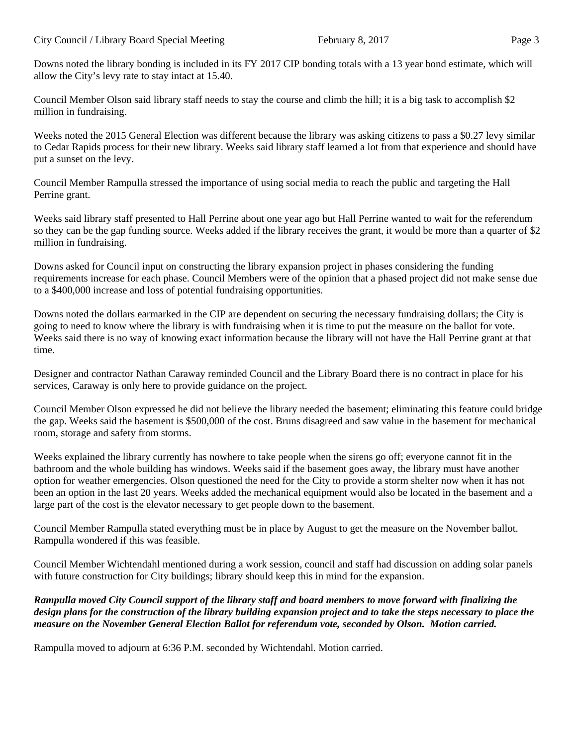Downs noted the library bonding is included in its FY 2017 CIP bonding totals with a 13 year bond estimate, which will allow the City's levy rate to stay intact at 15.40.

Council Member Olson said library staff needs to stay the course and climb the hill; it is a big task to accomplish \$2 million in fundraising.

Weeks noted the 2015 General Election was different because the library was asking citizens to pass a \$0.27 levy similar to Cedar Rapids process for their new library. Weeks said library staff learned a lot from that experience and should have put a sunset on the levy.

Council Member Rampulla stressed the importance of using social media to reach the public and targeting the Hall Perrine grant.

Weeks said library staff presented to Hall Perrine about one year ago but Hall Perrine wanted to wait for the referendum so they can be the gap funding source. Weeks added if the library receives the grant, it would be more than a quarter of \$2 million in fundraising.

Downs asked for Council input on constructing the library expansion project in phases considering the funding requirements increase for each phase. Council Members were of the opinion that a phased project did not make sense due to a \$400,000 increase and loss of potential fundraising opportunities.

Downs noted the dollars earmarked in the CIP are dependent on securing the necessary fundraising dollars; the City is going to need to know where the library is with fundraising when it is time to put the measure on the ballot for vote. Weeks said there is no way of knowing exact information because the library will not have the Hall Perrine grant at that time.

Designer and contractor Nathan Caraway reminded Council and the Library Board there is no contract in place for his services, Caraway is only here to provide guidance on the project.

Council Member Olson expressed he did not believe the library needed the basement; eliminating this feature could bridge the gap. Weeks said the basement is \$500,000 of the cost. Bruns disagreed and saw value in the basement for mechanical room, storage and safety from storms.

Weeks explained the library currently has nowhere to take people when the sirens go off; everyone cannot fit in the bathroom and the whole building has windows. Weeks said if the basement goes away, the library must have another option for weather emergencies. Olson questioned the need for the City to provide a storm shelter now when it has not been an option in the last 20 years. Weeks added the mechanical equipment would also be located in the basement and a large part of the cost is the elevator necessary to get people down to the basement.

Council Member Rampulla stated everything must be in place by August to get the measure on the November ballot. Rampulla wondered if this was feasible.

Council Member Wichtendahl mentioned during a work session, council and staff had discussion on adding solar panels with future construction for City buildings; library should keep this in mind for the expansion.

*Rampulla moved City Council support of the library staff and board members to move forward with finalizing the design plans for the construction of the library building expansion project and to take the steps necessary to place the measure on the November General Election Ballot for referendum vote, seconded by Olson. Motion carried.* 

Rampulla moved to adjourn at 6:36 P.M. seconded by Wichtendahl. Motion carried.